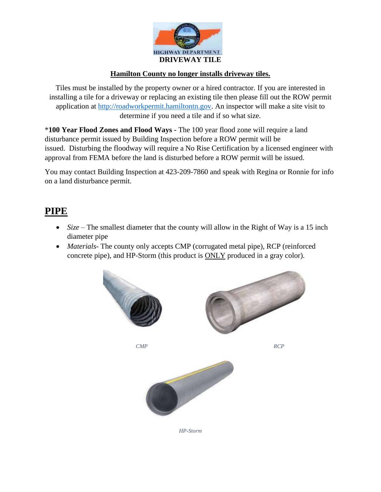

#### **Hamilton County no longer installs driveway tiles.**

Tiles must be installed by the property owner or a hired contractor. If you are interested in installing a tile for a driveway or replacing an existing tile then please fill out the ROW permit application at [http://roadworkpermit.hamiltontn.gov.](http://roadworkpermit.hamiltontn.gov/) An inspector will make a site visit to determine if you need a tile and if so what size.

\***100 Year Flood Zones and Flood Ways -** The 100 year flood zone will require a land disturbance permit issued by Building Inspection before a ROW permit will be issued. Disturbing the floodway will require a No Rise Certification by a licensed engineer with approval from FEMA before the land is disturbed before a ROW permit will be issued.

You may contact Building Inspection at 423-209-7860 and speak with Regina or Ronnie for info on a land disturbance permit.

### **PIPE**

- *Size* The smallest diameter that the county will allow in the Right of Way is a 15 inch diameter pipe
- *Materials-* The county only accepts CMP (corrugated metal pipe), RCP (reinforced concrete pipe), and HP-Storm (this product is **ONLY** produced in a gray color).





*CMP* RCP



*HP-Storm*